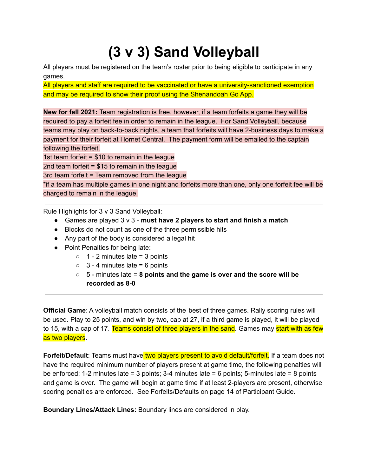## **(3 v 3) Sand Volleyball**

All players must be registered on the team's roster prior to being eligible to participate in any games.

All players and staff are required to be vaccinated or have a university-sanctioned exemption and may be required to show their proof using the Shenandoah Go App.

**New for fall 2021:** Team registration is free, however, if a team forfeits a game they will be required to pay a forfeit fee in order to remain in the league. For Sand Volleyball, because teams may play on back-to-back nights, a team that forfeits will have 2-business days to make a payment for their forfeit at Hornet Central. The payment form will be emailed to the captain following the forfeit.

1st team forfeit = \$10 to remain in the league

2nd team forfeit  $= $15$  to remain in the league

3rd team forfeit = Team removed from the league

\*if a team has multiple games in one night and forfeits more than one, only one forfeit fee will be charged to remain in the league.

Rule Highlights for 3 v 3 Sand Volleyball:

- Games are played 3 v 3 **must have 2 players to start and finish a match**
- Blocks do not count as one of the three permissible hits
- Any part of the body is considered a legal hit
- Point Penalties for being late:
	- $\circ$  1 2 minutes late = 3 points
	- $\circ$  3 4 minutes late = 6 points
	- 5 minutes late = **8 points and the game is over and the score will be recorded as 8-0**

**Official Game**: A volleyball match consists of the best of three games. Rally scoring rules will be used. Play to 25 points, and win by two, cap at 27, if a third game is played, it will be played to 15, with a cap of 17. Teams consist of three players in the sand. Games may start with as few as two players.

**Forfeit/Default**: Teams must have two players present to avoid default/forfeit. If a team does not have the required minimum number of players present at game time, the following penalties will be enforced: 1-2 minutes late = 3 points; 3-4 minutes late = 6 points; 5-minutes late = 8 points and game is over. The game will begin at game time if at least 2-players are present, otherwise scoring penalties are enforced. See Forfeits/Defaults on page 14 of Participant Guide.

**Boundary Lines/Attack Lines:** Boundary lines are considered in play.